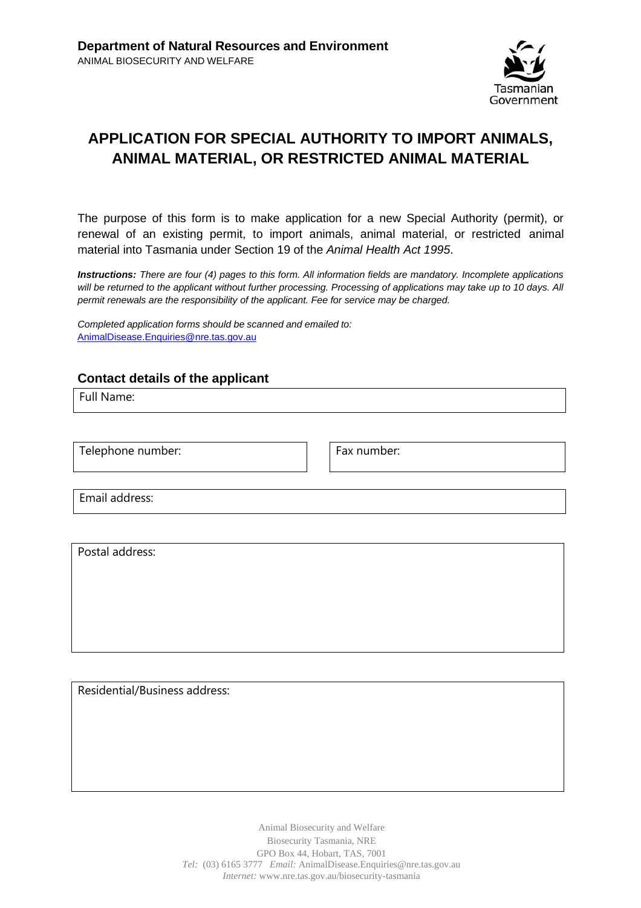

# **APPLICATION FOR SPECIAL AUTHORITY TO IMPORT ANIMALS, ANIMAL MATERIAL, OR RESTRICTED ANIMAL MATERIAL**

The purpose of this form is to make application for a new Special Authority (permit), or renewal of an existing permit, to import animals, animal material, or restricted animal material into Tasmania under Section 19 of the *Animal Health Act 1995*.

*Instructions: There are four (4) pages to this form. All information fields are mandatory. Incomplete applications will be returned to the applicant without further processing. Processing of applications may take up to 10 days. All permit renewals are the responsibility of the applicant. Fee for service may be charged.*

*Completed application forms should be scanned and emailed to:* [AnimalDisease.Enquiries@nre.tas.gov.au](mailto:AnimalDisease.Enquiries@nre.tas.gov.au)

### **Contact details of the applicant**

Full Name:

Telephone number: Fax number:

Email address:

Postal address:

Residential/Business address:

Animal Biosecurity and Welfare Biosecurity Tasmania, NRE GPO Box 44, Hobart, TAS, 7001 *Tel:* (03) 6165 3777 *Email:* AnimalDisease.Enquiries@nre.tas.gov.au *Internet:* www.nre.tas.gov.au/biosecurity-tasmania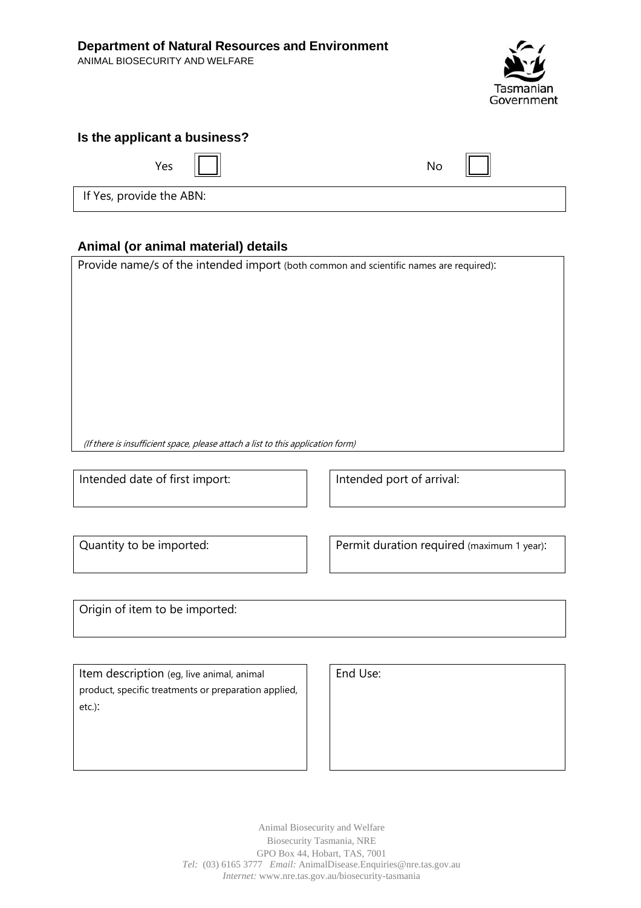ANIMAL BIOSECURITY AND WELFARE



## **Is the applicant a business?**

| Yes $  $ | No |
|----------|----|
|          |    |

If Yes, provide the ABN:

## **Animal (or animal material) details**

Provide name/s of the intended import (both common and scientific names are required): (If there is insufficient space, please attach <sup>a</sup> list to this application form)

Intended date of first import:  $\vert \vert$  htended port of arrival:

Quantity to be imported:  $\vert \vert$  Permit duration required (maximum 1 year):

Origin of item to be imported:

Item description (eg, live animal, animal product, specific treatments or preparation applied, etc.):

| End Use: |
|----------|
|          |

Animal Biosecurity and Welfare Biosecurity Tasmania, NRE GPO Box 44, Hobart, TAS, 7001 *Tel:* (03) 6165 3777 *Email:* AnimalDisease.Enquiries@nre.tas.gov.au *Internet:* www.nre.tas.gov.au/biosecurity-tasmania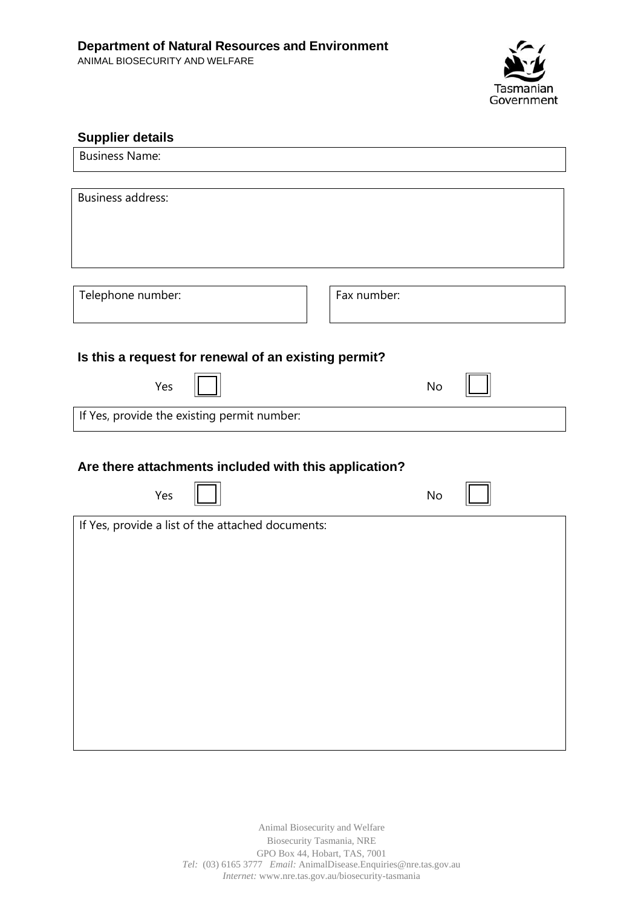

| <b>Supplier details</b>                                      |             |  |  |  |  |
|--------------------------------------------------------------|-------------|--|--|--|--|
| <b>Business Name:</b>                                        |             |  |  |  |  |
| <b>Business address:</b>                                     |             |  |  |  |  |
| Telephone number:                                            | Fax number: |  |  |  |  |
| Is this a request for renewal of an existing permit?         |             |  |  |  |  |
| Yes                                                          | No          |  |  |  |  |
| If Yes, provide the existing permit number:                  |             |  |  |  |  |
| Are there attachments included with this application?<br>Yes | No          |  |  |  |  |
| If Yes, provide a list of the attached documents:            |             |  |  |  |  |
|                                                              |             |  |  |  |  |